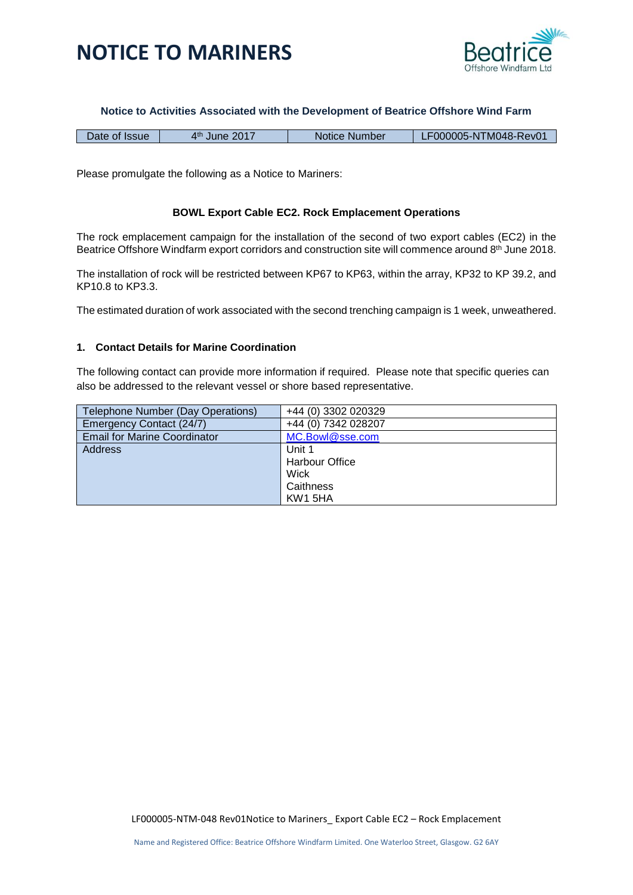

#### **Notice to Activities Associated with the Development of Beatrice Offshore Wind Farm**

| Date of Issue | ⊿th<br>June 2017 | Notice Number | 'F000005-NTM048-Rev01 |
|---------------|------------------|---------------|-----------------------|
|---------------|------------------|---------------|-----------------------|

Please promulgate the following as a Notice to Mariners:

### **BOWL Export Cable EC2. Rock Emplacement Operations**

The rock emplacement campaign for the installation of the second of two export cables (EC2) in the Beatrice Offshore Windfarm export corridors and construction site will commence around 8<sup>th</sup> June 2018.

The installation of rock will be restricted between KP67 to KP63, within the array, KP32 to KP 39.2, and KP10.8 to KP3.3.

The estimated duration of work associated with the second trenching campaign is 1 week, unweathered.

### **1. Contact Details for Marine Coordination**

The following contact can provide more information if required. Please note that specific queries can also be addressed to the relevant vessel or shore based representative.

| Telephone Number (Day Operations)   | +44 (0) 3302 020329   |
|-------------------------------------|-----------------------|
| Emergency Contact (24/7)            | +44 (0) 7342 028207   |
| <b>Email for Marine Coordinator</b> | MC.Bowl@sse.com       |
| Address                             | Unit 1                |
|                                     | <b>Harbour Office</b> |
|                                     | Wick                  |
|                                     | Caithness             |
|                                     | KW1 5HA               |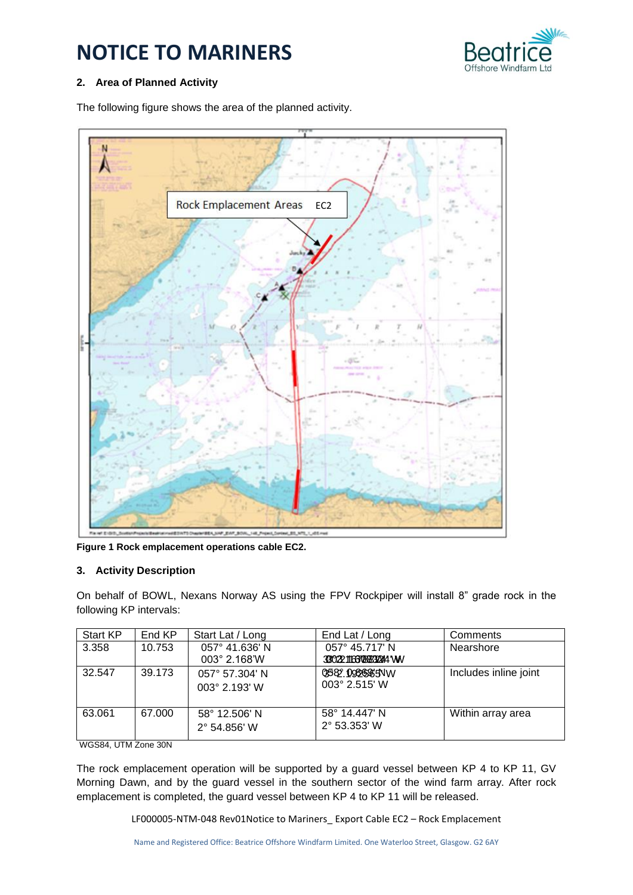

### **2. Area of Planned Activity**

The following figure shows the area of the planned activity.



**Figure 1 Rock emplacement operations cable EC2.**

### **3. Activity Description**

On behalf of BOWL, Nexans Norway AS using the FPV Rockpiper will install 8" grade rock in the following KP intervals:

| Start KP | End KP | Start Lat / Long                | End Lat / Long                           | Comments              |
|----------|--------|---------------------------------|------------------------------------------|-----------------------|
| 3.358    | 10.753 | 057° 41.636' N<br>003° 2.168'W  | 057° 45.717' N<br>330221166706832244 WV  | Nearshore             |
| 32.547   | 39.173 | 057° 57.304' N<br>003° 2.193' W | 0582.0986665NW<br>$003^{\circ}$ 2.515' W | Includes inline joint |
| 63.061   | 67.000 | 58° 12.506' N<br>2° 54.856' W   | 58° 14.447' N<br>$2^{\circ}$ 53.353' W   | Within array area     |

WGS84, UTM Zone 30N

The rock emplacement operation will be supported by a guard vessel between KP 4 to KP 11, GV Morning Dawn, and by the guard vessel in the southern sector of the wind farm array. After rock emplacement is completed, the guard vessel between KP 4 to KP 11 will be released.

LF000005-NTM-048 Rev01Notice to Mariners\_ Export Cable EC2 – Rock Emplacement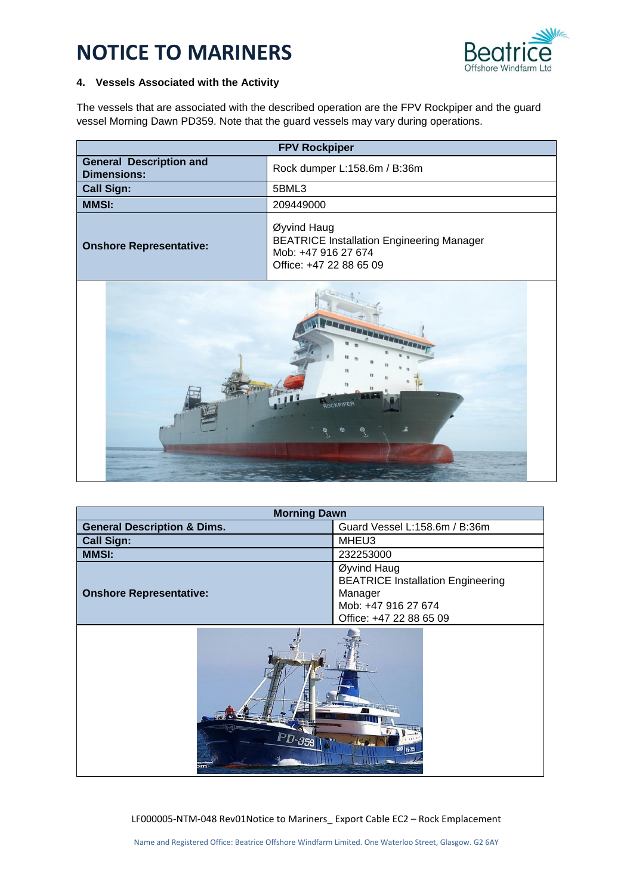

### **4. Vessels Associated with the Activity**

The vessels that are associated with the described operation are the FPV Rockpiper and the guard vessel Morning Dawn PD359. Note that the guard vessels may vary during operations.

| <b>FPV Rockpiper</b>                                 |                                                                                                                   |  |
|------------------------------------------------------|-------------------------------------------------------------------------------------------------------------------|--|
| <b>General Description and</b><br><b>Dimensions:</b> | Rock dumper L:158.6m / B:36m                                                                                      |  |
| <b>Call Sign:</b>                                    | 5BML3                                                                                                             |  |
| <b>MMSI:</b>                                         | 209449000                                                                                                         |  |
| <b>Onshore Representative:</b>                       | Øyvind Haug<br><b>BEATRICE Installation Engineering Manager</b><br>Mob: +47 916 27 674<br>Office: +47 22 88 65 09 |  |



| <b>Morning Dawn</b>                    |                                                                                                                      |  |
|----------------------------------------|----------------------------------------------------------------------------------------------------------------------|--|
| <b>General Description &amp; Dims.</b> | Guard Vessel L:158.6m / B:36m                                                                                        |  |
| <b>Call Sign:</b>                      | MHEU3                                                                                                                |  |
| <b>MMSI:</b>                           | 232253000                                                                                                            |  |
| <b>Onshore Representative:</b>         | Øyvind Haug<br><b>BEATRICE Installation Engineering</b><br>Manager<br>Mob: +47 916 27 674<br>Office: +47 22 88 65 09 |  |
| PD-359                                 |                                                                                                                      |  |

LF000005-NTM-048 Rev01Notice to Mariners\_ Export Cable EC2 – Rock Emplacement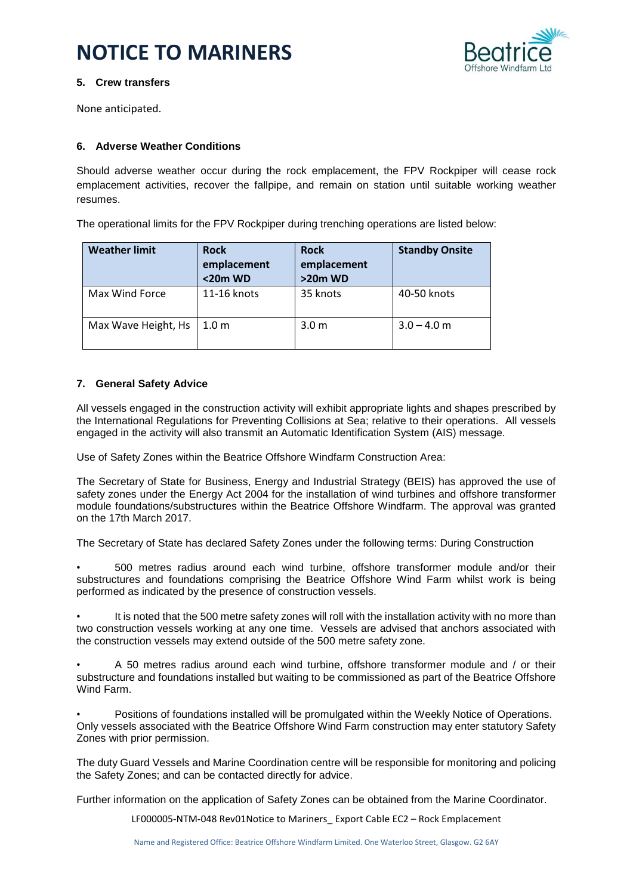

### **5. Crew transfers**

None anticipated.

### **6. Adverse Weather Conditions**

Should adverse weather occur during the rock emplacement, the FPV Rockpiper will cease rock emplacement activities, recover the fallpipe, and remain on station until suitable working weather resumes.

The operational limits for the FPV Rockpiper during trenching operations are listed below:

| <b>Weather limit</b> | <b>Rock</b><br>emplacement<br><20m WD | <b>Rock</b><br>emplacement<br>>20m WD | <b>Standby Onsite</b> |
|----------------------|---------------------------------------|---------------------------------------|-----------------------|
| Max Wind Force       | 11-16 knots                           | 35 knots                              | 40-50 knots           |
| Max Wave Height, Hs  | 1.0 <sub>m</sub>                      | 3.0 <sub>m</sub>                      | $3.0 - 4.0$ m         |

### **7. General Safety Advice**

All vessels engaged in the construction activity will exhibit appropriate lights and shapes prescribed by the International Regulations for Preventing Collisions at Sea; relative to their operations. All vessels engaged in the activity will also transmit an Automatic Identification System (AIS) message.

Use of Safety Zones within the Beatrice Offshore Windfarm Construction Area:

The Secretary of State for Business, Energy and Industrial Strategy (BEIS) has approved the use of safety zones under the Energy Act 2004 for the installation of wind turbines and offshore transformer module foundations/substructures within the Beatrice Offshore Windfarm. The approval was granted on the 17th March 2017.

The Secretary of State has declared Safety Zones under the following terms: During Construction

• 500 metres radius around each wind turbine, offshore transformer module and/or their substructures and foundations comprising the Beatrice Offshore Wind Farm whilst work is being performed as indicated by the presence of construction vessels.

It is noted that the 500 metre safety zones will roll with the installation activity with no more than two construction vessels working at any one time. Vessels are advised that anchors associated with the construction vessels may extend outside of the 500 metre safety zone.

• A 50 metres radius around each wind turbine, offshore transformer module and / or their substructure and foundations installed but waiting to be commissioned as part of the Beatrice Offshore Wind Farm.

• Positions of foundations installed will be promulgated within the Weekly Notice of Operations. Only vessels associated with the Beatrice Offshore Wind Farm construction may enter statutory Safety Zones with prior permission.

The duty Guard Vessels and Marine Coordination centre will be responsible for monitoring and policing the Safety Zones; and can be contacted directly for advice.

Further information on the application of Safety Zones can be obtained from the Marine Coordinator.

LF000005-NTM-048 Rev01Notice to Mariners\_ Export Cable EC2 – Rock Emplacement